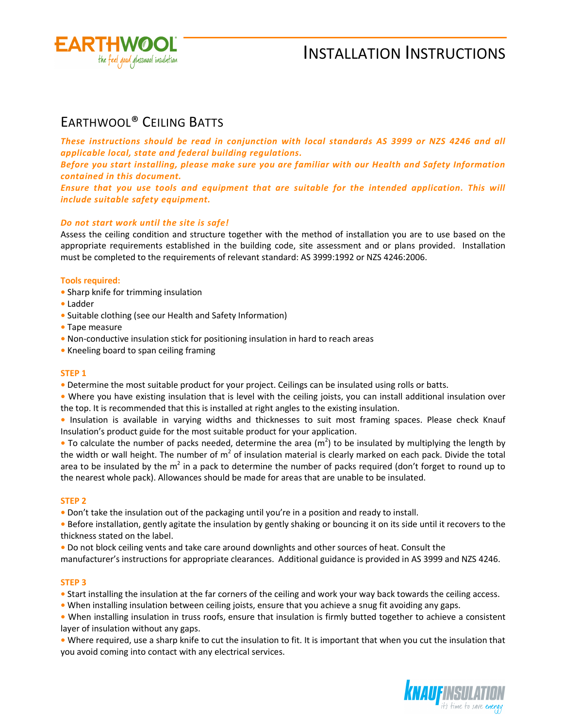

# INSTALLATION INSTRUCTIONS

## EARTHWOOL® CEILING BATTS

*These instructions should be read in conjunction with local standards AS 3999 or NZS 4246 and all applicable local, state and federal building regulations.* 

*Before you start installing, please make sure you are familiar with our Health and Safety Information contained in this document.* 

*Ensure that you use tools and equipment that are suitable for the intended application. This will include suitable safety equipment.* 

### *Do not start work until the site is safe!*

Assess the ceiling condition and structure together with the method of installation you are to use based on the appropriate requirements established in the building code, site assessment and or plans provided. Installation must be completed to the requirements of relevant standard: AS 3999:1992 or NZS 4246:2006.

### **Tools required:**

- Sharp knife for trimming insulation
- Ladder
- Suitable clothing (see our Health and Safety Information)
- Tape measure
- Non-conductive insulation stick for positioning insulation in hard to reach areas
- Kneeling board to span ceiling framing

### **STEP 1**

**•** Determine the most suitable product for your project. Ceilings can be insulated using rolls or batts.

**•** Where you have existing insulation that is level with the ceiling joists, you can install additional insulation over the top. It is recommended that this is installed at right angles to the existing insulation.

**•** Insulation is available in varying widths and thicknesses to suit most framing spaces. Please check Knauf Insulation's product guide for the most suitable product for your application.

• To calculate the number of packs needed, determine the area (m<sup>2</sup>) to be insulated by multiplying the length by the width or wall height. The number of  $m^2$  of insulation material is clearly marked on each pack. Divide the total area to be insulated by the m<sup>2</sup> in a pack to determine the number of packs required (don't forget to round up to the nearest whole pack). Allowances should be made for areas that are unable to be insulated.

### **STEP 2**

**•** Don't take the insulation out of the packaging until you're in a position and ready to install.

**•** Before installation, gently agitate the insulation by gently shaking or bouncing it on its side until it recovers to the thickness stated on the label.

**•** Do not block ceiling vents and take care around downlights and other sources of heat. Consult the manufacturer's instructions for appropriate clearances. Additional guidance is provided in AS 3999 and NZS 4246.

### **STEP 3**

- **•** Start installing the insulation at the far corners of the ceiling and work your way back towards the ceiling access.
- When installing insulation between ceiling joists, ensure that you achieve a snug fit avoiding any gaps.

**•** When installing insulation in truss roofs, ensure that insulation is firmly butted together to achieve a consistent layer of insulation without any gaps.

**•** Where required, use a sharp knife to cut the insulation to fit. It is important that when you cut the insulation that you avoid coming into contact with any electrical services.

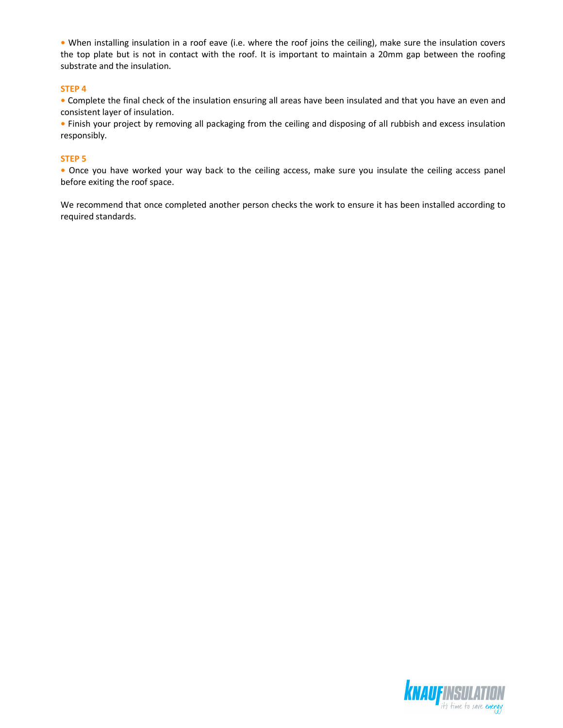**•** When installing insulation in a roof eave (i.e. where the roof joins the ceiling), make sure the insulation covers the top plate but is not in contact with the roof. It is important to maintain a 20mm gap between the roofing substrate and the insulation.

### **STEP 4**

**•** Complete the final check of the insulation ensuring all areas have been insulated and that you have an even and consistent layer of insulation.

**•** Finish your project by removing all packaging from the ceiling and disposing of all rubbish and excess insulation responsibly.

### **STEP 5**

**•** Once you have worked your way back to the ceiling access, make sure you insulate the ceiling access panel before exiting the roof space.

We recommend that once completed another person checks the work to ensure it has been installed according to required standards.

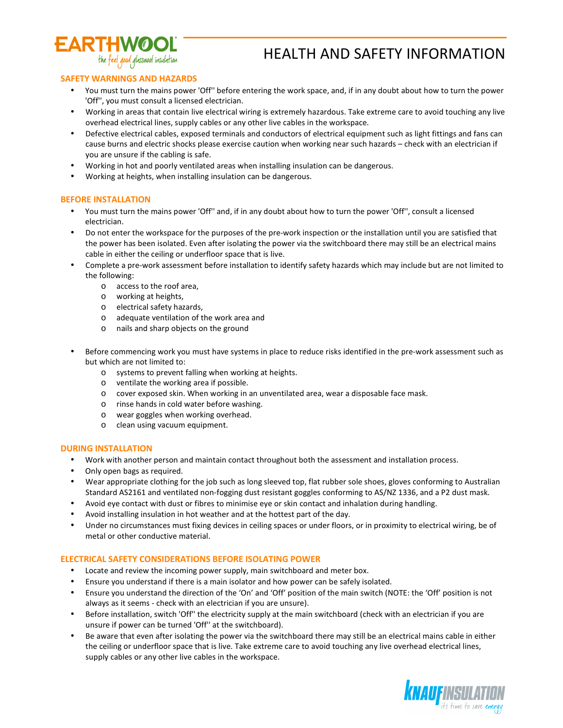

## HEALTH AND SAFETY INFORMATION

### **SAFETY WARNINGS AND HAZARDS**

- You must turn the mains power 'Off'' before entering the work space, and, if in any doubt about how to turn the power 'Off'', you must consult a licensed electrician.
- Working in areas that contain live electrical wiring is extremely hazardous. Take extreme care to avoid touching any live overhead electrical lines, supply cables or any other live cables in the workspace.
- Defective electrical cables, exposed terminals and conductors of electrical equipment such as light fittings and fans can cause burns and electric shocks please exercise caution when working near such hazards – check with an electrician if you are unsure if the cabling is safe.
- Working in hot and poorly ventilated areas when installing insulation can be dangerous.
- Working at heights, when installing insulation can be dangerous.

### **BEFORE INSTALLATION**

- You must turn the mains power 'Off'' and, if in any doubt about how to turn the power 'Off'', consult a licensed electrician.
- Do not enter the workspace for the purposes of the pre-work inspection or the installation until you are satisfied that the power has been isolated. Even after isolating the power via the switchboard there may still be an electrical mains cable in either the ceiling or underfloor space that is live.
- Complete a pre-work assessment before installation to identify safety hazards which may include but are not limited to the following:
	- o access to the roof area,
	- o working at heights,
	- o electrical safety hazards,
	- o adequate ventilation of the work area and
	- o nails and sharp objects on the ground
- Before commencing work you must have systems in place to reduce risks identified in the pre-work assessment such as but which are not limited to:
	- o systems to prevent falling when working at heights.
	- o ventilate the working area if possible.
	- o cover exposed skin. When working in an unventilated area, wear a disposable face mask.
	- o rinse hands in cold water before washing.
	- o wear goggles when working overhead.
	- o clean using vacuum equipment.

### **DURING INSTALLATION**

- Work with another person and maintain contact throughout both the assessment and installation process.
- Only open bags as required.
- Wear appropriate clothing for the job such as long sleeved top, flat rubber sole shoes, gloves conforming to Australian Standard AS2161 and ventilated non-fogging dust resistant goggles conforming to AS/NZ 1336, and a P2 dust mask.
- Avoid eye contact with dust or fibres to minimise eye or skin contact and inhalation during handling.
- Avoid installing insulation in hot weather and at the hottest part of the day.
- Under no circumstances must fixing devices in ceiling spaces or under floors, or in proximity to electrical wiring, be of metal or other conductive material.

### **ELECTRICAL SAFETY CONSIDERATIONS BEFORE ISOLATING POWER**

- Locate and review the incoming power supply, main switchboard and meter box.
- Ensure you understand if there is a main isolator and how power can be safely isolated.
- Ensure you understand the direction of the 'On' and 'Off' position of the main switch (NOTE: the 'Off' position is not always as it seems - check with an electrician if you are unsure).
- Before installation, switch 'Off'' the electricity supply at the main switchboard (check with an electrician if you are unsure if power can be turned 'Off'' at the switchboard).
- Be aware that even after isolating the power via the switchboard there may still be an electrical mains cable in either the ceiling or underfloor space that is live. Take extreme care to avoid touching any live overhead electrical lines, supply cables or any other live cables in the workspace.